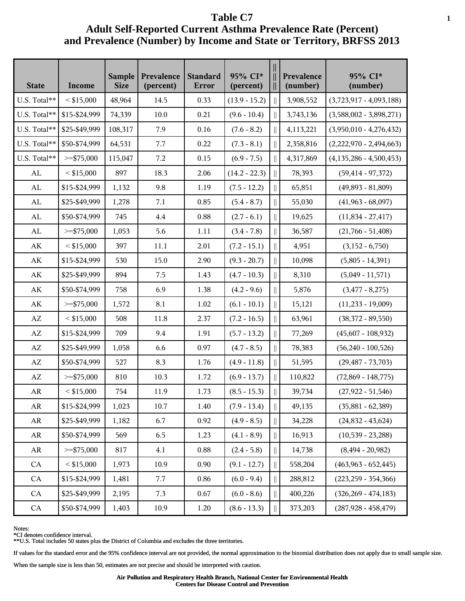| <b>State</b>           | Income        | <b>Sample</b><br><b>Size</b> | Prevalence<br>(percent) | <b>Standard</b><br>Error | 95% CI*<br>(percent) |             | Prevalence<br>(number) | 95% CI*<br>(number)       |
|------------------------|---------------|------------------------------|-------------------------|--------------------------|----------------------|-------------|------------------------|---------------------------|
| U.S. Total**           | $<$ \$15,000  | 48,964                       | 14.5                    | 0.33                     | $(13.9 - 15.2)$      |             | 3,908,552              | $(3,723,917 - 4,093,188)$ |
| U.S. Total**           | \$15-\$24,999 | 74,339                       | 10.0                    | 0.21                     | $(9.6 - 10.4)$       |             | 3,743,136              | $(3,588,002 - 3,898,271)$ |
| U.S. Total**           | \$25-\$49,999 | 108,317                      | 7.9                     | 0.16                     | $(7.6 - 8.2)$        |             | 4,113,221              | $(3,950,010 - 4,276,432)$ |
| U.S. Total**           | \$50-\$74,999 | 64,531                       | 7.7                     | 0.22                     | $(7.3 - 8.1)$        |             | 2,358,816              | $(2,222,970 - 2,494,663)$ |
| U.S. Total**           | $>=$ \$75,000 | 115,047                      | 7.2                     | 0.15                     | $(6.9 - 7.5)$        |             | 4,317,869              | $(4,135,286 - 4,500,453)$ |
| AL                     | $<$ \$15,000  | 897                          | 18.3                    | 2.06                     | $(14.2 - 22.3)$      |             | 78,393                 | $(59, 414 - 97, 372)$     |
| AL                     | \$15-\$24,999 | 1,132                        | 9.8                     | 1.19                     | $(7.5 - 12.2)$       | $\parallel$ | 65,851                 | $(49,893 - 81,809)$       |
| ${\rm AL}$             | \$25-\$49,999 | 1,278                        | 7.1                     | 0.85                     | $(5.4 - 8.7)$        | $\parallel$ | 55,030                 | $(41,963 - 68,097)$       |
| ${\rm AL}$             | \$50-\$74,999 | 745                          | 4.4                     | 0.88                     | $(2.7 - 6.1)$        |             | 19,625                 | $(11,834 - 27,417)$       |
| ${\rm AL}$             | $>=$ \$75,000 | 1,053                        | 5.6                     | 1.11                     | $(3.4 - 7.8)$        |             | 36,587                 | $(21,766 - 51,408)$       |
| AK                     | $<$ \$15,000  | 397                          | 11.1                    | 2.01                     | $(7.2 - 15.1)$       |             | 4,951                  | $(3,152 - 6,750)$         |
| AK                     | \$15-\$24,999 | 530                          | 15.0                    | 2.90                     | $(9.3 - 20.7)$       | $\parallel$ | 10,098                 | $(5,805 - 14,391)$        |
| $\mathbf{A}\mathbf{K}$ | \$25-\$49,999 | 894                          | 7.5                     | 1.43                     | $(4.7 - 10.3)$       | $\parallel$ | 8,310                  | $(5,049 - 11,571)$        |
| AK                     | \$50-\$74,999 | 758                          | 6.9                     | 1.38                     | $(4.2 - 9.6)$        |             | 5,876                  | $(3,477 - 8,275)$         |
| AK                     | $>=$ \$75,000 | 1,572                        | 8.1                     | 1.02                     | $(6.1 - 10.1)$       |             | 15,121                 | $(11,233 - 19,009)$       |
| $\mathbf{A}\mathbf{Z}$ | $<$ \$15,000  | 508                          | 11.8                    | 2.37                     | $(7.2 - 16.5)$       |             | 63,961                 | $(38,372 - 89,550)$       |
| $\mathbf{A}\mathbf{Z}$ | \$15-\$24,999 | 709                          | 9.4                     | 1.91                     | $(5.7 - 13.2)$       | $\parallel$ | 77,269                 | $(45,607 - 108,932)$      |
| $\mathbf{A}\mathbf{Z}$ | \$25-\$49,999 | 1,058                        | 6.6                     | 0.97                     | $(4.7 - 8.5)$        | $\parallel$ | 78,383                 | $(56,240 - 100,526)$      |
| $\mathbf{A}\mathbf{Z}$ | \$50-\$74,999 | 527                          | 8.3                     | 1.76                     | $(4.9 - 11.8)$       |             | 51,595                 | $(29, 487 - 73, 703)$     |
| $\mathbf{A}\mathbf{Z}$ | $>=$ \$75,000 | 810                          | 10.3                    | 1.72                     | $(6.9 - 13.7)$       |             | 110,822                | $(72,869 - 148,775)$      |
| AR                     | $<$ \$15,000  | 754                          | 11.9                    | 1.73                     | $(8.5 - 15.3)$       |             | 39,734                 | $(27,922 - 51,546)$       |
| AR                     | \$15-\$24,999 | 1,023                        | 10.7                    | 1.40                     | $(7.9 - 13.4)$       | $\parallel$ | 49,135                 | $(35,881 - 62,389)$       |
| AR                     | \$25-\$49,999 | 1,182                        | 6.7                     | 0.92                     | $(4.9 - 8.5)$        | $\parallel$ | 34,228                 | $(24,832 - 43,624)$       |
| AR                     | \$50-\$74,999 | 569                          | 6.5                     | 1.23                     | $(4.1 - 8.9)$        | $\parallel$ | 16,913                 | $(10,539 - 23,288)$       |
| AR                     | $>=$ \$75,000 | 817                          | 4.1                     | 0.88                     | $(2.4 - 5.8)$        |             | 14,738                 | $(8,494 - 20,982)$        |
| CA                     | $<$ \$15,000  | 1,973                        | 10.9                    | 0.90                     | $(9.1 - 12.7)$       |             | 558,204                | $(463,963 - 652,445)$     |
| CA                     | \$15-\$24,999 | 1,481                        | 7.7                     | 0.86                     | $(6.0 - 9.4)$        | Ш           | 288,812                | $(223, 259 - 354, 366)$   |
| CA                     | \$25-\$49,999 | 2,195                        | 7.3                     | 0.67                     | $(6.0 - 8.6)$        | $\parallel$ | 400,226                | $(326, 269 - 474, 183)$   |
| ${\rm CA}$             | \$50-\$74,999 | 1,403                        | 10.9                    | 1.20                     | $(8.6 - 13.3)$       | ∥.          | 373,203                | $(287,928 - 458,479)$     |

Notes:

\*CI denotes confidence interval.

\*\*U.S. Total includes 50 states plus the District of Columbia and excludes the three territories.

If values for the standard error and the 95% confidence interval are not provided, the normal approximation to the binomial distribution does not apply due to small sample size.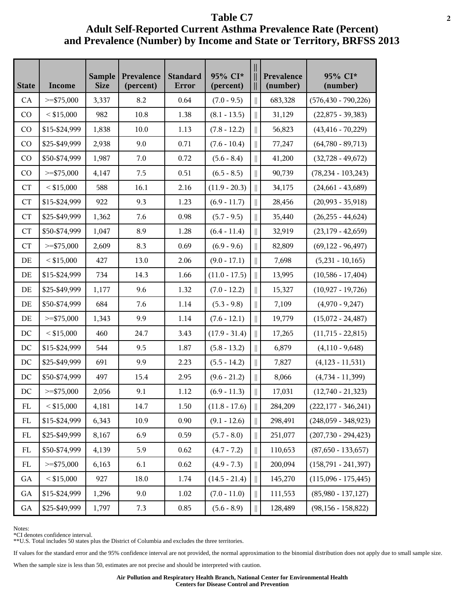| <b>State</b> | Income        | <b>Sample</b><br><b>Size</b> | Prevalence<br>(percent) | <b>Standard</b><br>Error | 95% CI*<br>(percent) |                                                                                                                | Prevalence<br>(number) | 95% CI*<br>(number)     |
|--------------|---------------|------------------------------|-------------------------|--------------------------|----------------------|----------------------------------------------------------------------------------------------------------------|------------------------|-------------------------|
| CA           | $>=$ \$75,000 | 3,337                        | 8.2                     | 0.64                     | $(7.0 - 9.5)$        |                                                                                                                | 683,328                | $(576, 430 - 790, 226)$ |
| CO           | $<$ \$15,000  | 982                          | 10.8                    | 1.38                     | $(8.1 - 13.5)$       | $\parallel$                                                                                                    | 31,129                 | $(22,875 - 39,383)$     |
| CO           | \$15-\$24,999 | 1,838                        | 10.0                    | 1.13                     | $(7.8 - 12.2)$       | $\parallel$                                                                                                    | 56,823                 | $(43, 416 - 70, 229)$   |
| CO           | \$25-\$49,999 | 2,938                        | 9.0                     | 0.71                     | $(7.6 - 10.4)$       |                                                                                                                | 77,247                 | $(64,780 - 89,713)$     |
| CO           | \$50-\$74,999 | 1,987                        | 7.0                     | 0.72                     | $(5.6 - 8.4)$        |                                                                                                                | 41,200                 | $(32,728 - 49,672)$     |
| CO           | $>=$ \$75,000 | 4,147                        | 7.5                     | 0.51                     | $(6.5 - 8.5)$        |                                                                                                                | 90,739                 | $(78, 234 - 103, 243)$  |
| <b>CT</b>    | $<$ \$15,000  | 588                          | 16.1                    | 2.16                     | $(11.9 - 20.3)$      | $\begin{array}{c} \hline \end{array}$                                                                          | 34,175                 | $(24,661 - 43,689)$     |
| CT           | \$15-\$24,999 | 922                          | 9.3                     | 1.23                     | $(6.9 - 11.7)$       | $\mathbf{r}^{\prime}$                                                                                          | 28,456                 | $(20,993 - 35,918)$     |
| <b>CT</b>    | \$25-\$49,999 | 1,362                        | 7.6                     | 0.98                     | $(5.7 - 9.5)$        |                                                                                                                | 35,440                 | $(26,255 - 44,624)$     |
| <b>CT</b>    | \$50-\$74,999 | 1,047                        | 8.9                     | 1.28                     | $(6.4 - 11.4)$       |                                                                                                                | 32,919                 | $(23,179 - 42,659)$     |
| <b>CT</b>    | $>=$ \$75,000 | 2,609                        | 8.3                     | 0.69                     | $(6.9 - 9.6)$        |                                                                                                                | 82,809                 | $(69, 122 - 96, 497)$   |
| DE           | $<$ \$15,000  | 427                          | 13.0                    | 2.06                     | $(9.0 - 17.1)$       | $\begin{array}{c} \hline \end{array}$                                                                          | 7,698                  | $(5,231 - 10,165)$      |
| DE           | \$15-\$24,999 | 734                          | 14.3                    | 1.66                     | $(11.0 - 17.5)$      | $\parallel$                                                                                                    | 13,995                 | $(10,586 - 17,404)$     |
| DE           | \$25-\$49,999 | 1,177                        | 9.6                     | 1.32                     | $(7.0 - 12.2)$       |                                                                                                                | 15,327                 | $(10,927 - 19,726)$     |
| DE           | \$50-\$74,999 | 684                          | 7.6                     | 1.14                     | $(5.3 - 9.8)$        | $\parallel$                                                                                                    | 7,109                  | $(4,970 - 9,247)$       |
| DE           | $>=$ \$75,000 | 1,343                        | 9.9                     | 1.14                     | $(7.6 - 12.1)$       |                                                                                                                | 19,779                 | $(15,072 - 24,487)$     |
| DC           | $<$ \$15,000  | 460                          | 24.7                    | 3.43                     | $(17.9 - 31.4)$      | $\parallel$                                                                                                    | 17,265                 | $(11,715 - 22,815)$     |
| DC           | \$15-\$24,999 | 544                          | 9.5                     | 1.87                     | $(5.8 - 13.2)$       | $\mathcal{L}^{\text{max}}_{\text{max}}$                                                                        | 6,879                  | $(4,110 - 9,648)$       |
| DC           | \$25-\$49,999 | 691                          | 9.9                     | 2.23                     | $(5.5 - 14.2)$       | $\parallel$                                                                                                    | 7,827                  | $(4,123 - 11,531)$      |
| DC           | \$50-\$74,999 | 497                          | 15.4                    | 2.95                     | $(9.6 - 21.2)$       | $\parallel$                                                                                                    | 8,066                  | $(4,734 - 11,399)$      |
| $\rm DC$     | $>=$ \$75,000 | 2,056                        | 9.1                     | 1.12                     | $(6.9 - 11.3)$       |                                                                                                                | 17,031                 | $(12,740 - 21,323)$     |
| ${\rm FL}$   | $<$ \$15,000  | 4,181                        | 14.7                    | 1.50                     | $(11.8 - 17.6)$      | $\mathbf{r}$                                                                                                   | 284,209                | $(222,177 - 346,241)$   |
| FL           | \$15-\$24,999 | 6,343                        | 10.9                    | 0.90                     | $(9.1 - 12.6)$       | $\begin{array}{c} \hline \end{array}$                                                                          | 298,491                | $(248,059 - 348,923)$   |
| ${\rm FL}$   | \$25-\$49,999 | 8,167                        | 6.9                     | 0.59                     | $(5.7 - 8.0)$        | $\mathcal{L}^{\text{max}}_{\text{max}}$                                                                        | 251,077                | $(207, 730 - 294, 423)$ |
| FL           | \$50-\$74,999 | 4,139                        | 5.9                     | 0.62                     | $(4.7 - 7.2)$        |                                                                                                                | 110,653                | $(87,650 - 133,657)$    |
| FL           | $>=$ \$75,000 | 6,163                        | 6.1                     | 0.62                     | $(4.9 - 7.3)$        |                                                                                                                | 200,094                | $(158,791 - 241,397)$   |
| GA           | $<$ \$15,000  | 927                          | 18.0                    | 1.74                     | $(14.5 - 21.4)$      | II                                                                                                             | 145,270                | $(115,096 - 175,445)$   |
| GA           | \$15-\$24,999 | 1,296                        | 9.0                     | 1.02                     | $(7.0 - 11.0)$       | $\big\ $                                                                                                       | 111,553                | $(85,980 - 137,127)$    |
| ${\rm GA}$   | \$25-\$49,999 | 1,797                        | 7.3                     | 0.85                     | $(5.6 - 8.9)$        | $\begin{array}{c} \vspace{0.1cm} \rule{0.2cm}{0.1cm} \vspace{0.1cm} \vspace{0.1cm} \end{array} \vspace{0.1cm}$ | 128,489                | $(98, 156 - 158, 822)$  |

Notes:

\*CI denotes confidence interval.

\*\*U.S. Total includes 50 states plus the District of Columbia and excludes the three territories.

If values for the standard error and the 95% confidence interval are not provided, the normal approximation to the binomial distribution does not apply due to small sample size.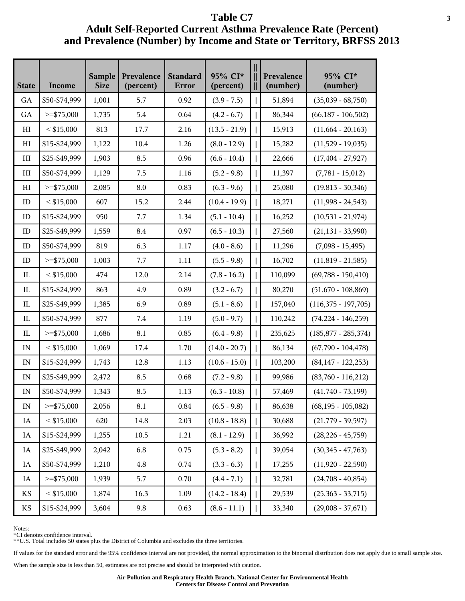| <b>State</b>             | Income        | <b>Sample</b><br><b>Size</b> | Prevalence<br>(percent) | <b>Standard</b><br>Error | 95% CI*<br>(percent) |              | Prevalence<br>(number) | 95% CI*<br>(number)     |
|--------------------------|---------------|------------------------------|-------------------------|--------------------------|----------------------|--------------|------------------------|-------------------------|
| GA                       | \$50-\$74,999 | 1,001                        | 5.7                     | 0.92                     | $(3.9 - 7.5)$        |              | 51,894                 | $(35,039 - 68,750)$     |
| GA                       | $>=$ \$75,000 | 1,735                        | 5.4                     | 0.64                     | $(4.2 - 6.7)$        | $\parallel$  | 86,344                 | $(66,187 - 106,502)$    |
| HI                       | $<$ \$15,000  | 813                          | 17.7                    | 2.16                     | $(13.5 - 21.9)$      | $\parallel$  | 15,913                 | $(11,664 - 20,163)$     |
| HI                       | \$15-\$24,999 | 1,122                        | 10.4                    | 1.26                     | $(8.0 - 12.9)$       |              | 15,282                 | $(11,529 - 19,035)$     |
| HI                       | \$25-\$49,999 | 1,903                        | 8.5                     | 0.96                     | $(6.6 - 10.4)$       |              | 22,666                 | $(17, 404 - 27, 927)$   |
| HI                       | \$50-\$74,999 | 1,129                        | 7.5                     | 1.16                     | $(5.2 - 9.8)$        |              | 11,397                 | $(7,781 - 15,012)$      |
| HI                       | $>=$ \$75,000 | 2,085                        | 8.0                     | 0.83                     | $(6.3 - 9.6)$        | $\parallel$  | 25,080                 | $(19,813 - 30,346)$     |
| ID                       | $<$ \$15,000  | 607                          | 15.2                    | 2.44                     | $(10.4 - 19.9)$      | $\parallel$  | 18,271                 | $(11,998 - 24,543)$     |
| ID                       | \$15-\$24,999 | 950                          | 7.7                     | 1.34                     | $(5.1 - 10.4)$       |              | 16,252                 | $(10,531 - 21,974)$     |
| ID                       | \$25-\$49,999 | 1,559                        | 8.4                     | 0.97                     | $(6.5 - 10.3)$       |              | 27,560                 | $(21, 131 - 33, 990)$   |
| ID                       | \$50-\$74,999 | 819                          | 6.3                     | 1.17                     | $(4.0 - 8.6)$        |              | 11,296                 | $(7,098 - 15,495)$      |
| ID                       | $>=$ \$75,000 | 1,003                        | 7.7                     | 1.11                     | $(5.5 - 9.8)$        | $\parallel$  | 16,702                 | $(11,819 - 21,585)$     |
| IL                       | $<$ \$15,000  | 474                          | 12.0                    | 2.14                     | $(7.8 - 16.2)$       | $\parallel$  | 110,099                | $(69,788 - 150,410)$    |
| $_{\rm IL}$              | \$15-\$24,999 | 863                          | 4.9                     | 0.89                     | $(3.2 - 6.7)$        |              | 80,270                 | $(51,670 - 108,869)$    |
| IL                       | \$25-\$49,999 | 1,385                        | 6.9                     | 0.89                     | $(5.1 - 8.6)$        | $\parallel$  | 157,040                | $(116,375 - 197,705)$   |
| IL                       | \$50-\$74,999 | 877                          | 7.4                     | 1.19                     | $(5.0 - 9.7)$        |              | 110,242                | $(74,224 - 146,259)$    |
| IL                       | $>=$ \$75,000 | 1,686                        | 8.1                     | 0.85                     | $(6.4 - 9.8)$        | II           | 235,625                | $(185, 877 - 285, 374)$ |
| IN                       | $<$ \$15,000  | 1,069                        | 17.4                    | 1.70                     | $(14.0 - 20.7)$      | $\parallel$  | 86,134                 | $(67,790 - 104,478)$    |
| IN                       | \$15-\$24,999 | 1,743                        | 12.8                    | 1.13                     | $(10.6 - 15.0)$      |              | 103,200                | $(84, 147 - 122, 253)$  |
| IN                       | \$25-\$49,999 | 2,472                        | 8.5                     | 0.68                     | $(7.2 - 9.8)$        | $\parallel$  | 99,986                 | $(83,760 - 116,212)$    |
| $\ensuremath{\text{IN}}$ | \$50-\$74,999 | 1,343                        | 8.5                     | 1.13                     | $(6.3 - 10.8)$       |              | 57,469                 | $(41,740 - 73,199)$     |
| $\ensuremath{\text{IN}}$ | $>=$ \$75,000 | 2,056                        | 8.1                     | 0.84                     | $(6.5 - 9.8)$        | $\parallel$  | 86,638                 | $(68, 195 - 105, 082)$  |
| IA                       | $<$ \$15,000  | 620                          | 14.8                    | 2.03                     | $(10.8 - 18.8)$      | $\parallel$  | 30,688                 | $(21,779 - 39,597)$     |
| IA                       | \$15-\$24,999 | 1,255                        | 10.5                    | 1.21                     | $(8.1 - 12.9)$       | $\parallel$  | 36,992                 | $(28, 226 - 45, 759)$   |
| IA                       | \$25-\$49,999 | 2,042                        | 6.8                     | 0.75                     | $(5.3 - 8.2)$        |              | 39,054                 | $(30,345 - 47,763)$     |
| IA                       | \$50-\$74,999 | 1,210                        | 4.8                     | 0.74                     | $(3.3 - 6.3)$        | $\parallel$  | 17,255                 | $(11,920 - 22,590)$     |
| IA                       | $>=$ \$75,000 | 1,939                        | 5.7                     | 0.70                     | $(4.4 - 7.1)$        | $\mathbb{I}$ | 32,781                 | $(24,708 - 40,854)$     |
| KS                       | $<$ \$15,000  | 1,874                        | 16.3                    | 1.09                     | $(14.2 - 18.4)$      | $\parallel$  | 29,539                 | $(25,363 - 33,715)$     |
| KS                       | \$15-\$24,999 | 3,604                        | 9.8                     | 0.63                     | $(8.6 - 11.1)$       | $\parallel$  | 33,340                 | $(29,008 - 37,671)$     |

Notes:

\*CI denotes confidence interval.

\*\*U.S. Total includes 50 states plus the District of Columbia and excludes the three territories.

If values for the standard error and the 95% confidence interval are not provided, the normal approximation to the binomial distribution does not apply due to small sample size.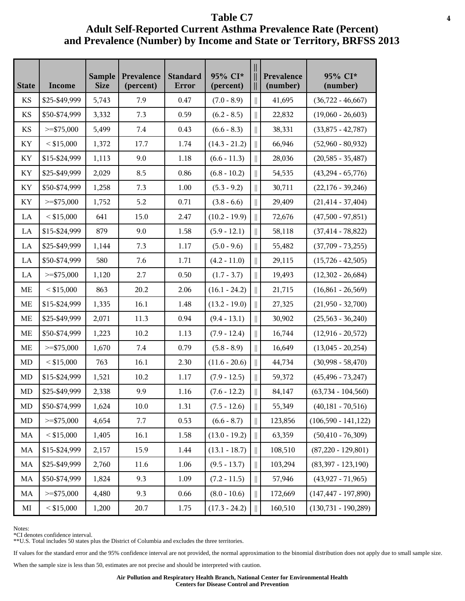| <b>State</b> | Income        | <b>Sample</b><br><b>Size</b> | Prevalence<br>(percent) | <b>Standard</b><br>Error | 95% CI*<br>(percent) |             | Prevalence<br>(number) | 95% CI*<br>(number)     |
|--------------|---------------|------------------------------|-------------------------|--------------------------|----------------------|-------------|------------------------|-------------------------|
| KS           | \$25-\$49,999 | 5,743                        | 7.9                     | 0.47                     | $(7.0 - 8.9)$        |             | 41,695                 | $(36,722 - 46,667)$     |
| <b>KS</b>    | \$50-\$74,999 | 3,332                        | 7.3                     | 0.59                     | $(6.2 - 8.5)$        | $\parallel$ | 22,832                 | $(19,060 - 26,603)$     |
| <b>KS</b>    | $>=$ \$75,000 | 5,499                        | 7.4                     | 0.43                     | $(6.6 - 8.3)$        | $\parallel$ | 38,331                 | $(33,875 - 42,787)$     |
| KY           | $<$ \$15,000  | 1,372                        | 17.7                    | 1.74                     | $(14.3 - 21.2)$      |             | 66,946                 | $(52,960 - 80,932)$     |
| KY           | \$15-\$24,999 | 1,113                        | 9.0                     | 1.18                     | $(6.6 - 11.3)$       | $\parallel$ | 28,036                 | $(20, 585 - 35, 487)$   |
| KY           | \$25-\$49,999 | 2,029                        | 8.5                     | 0.86                     | $(6.8 - 10.2)$       |             | 54,535                 | $(43,294 - 65,776)$     |
| KY           | \$50-\$74,999 | 1,258                        | 7.3                     | 1.00                     | $(5.3 - 9.2)$        | $\parallel$ | 30,711                 | $(22,176 - 39,246)$     |
| KY           | $>=$ \$75,000 | 1,752                        | 5.2                     | 0.71                     | $(3.8 - 6.6)$        | $\parallel$ | 29,409                 | $(21, 414 - 37, 404)$   |
| LA           | $<$ \$15,000  | 641                          | 15.0                    | 2.47                     | $(10.2 - 19.9)$      |             | 72,676                 | $(47,500 - 97,851)$     |
| LA           | \$15-\$24,999 | 879                          | 9.0                     | 1.58                     | $(5.9 - 12.1)$       | $\parallel$ | 58,118                 | $(37, 414 - 78, 822)$   |
| LA           | \$25-\$49,999 | 1,144                        | 7.3                     | 1.17                     | $(5.0 - 9.6)$        |             | 55,482                 | $(37,709 - 73,255)$     |
| LA           | \$50-\$74,999 | 580                          | 7.6                     | 1.71                     | $(4.2 - 11.0)$       | $\parallel$ | 29,115                 | $(15,726 - 42,505)$     |
| LA           | $>=$ \$75,000 | 1,120                        | 2.7                     | 0.50                     | $(1.7 - 3.7)$        | $\parallel$ | 19,493                 | $(12,302 - 26,684)$     |
| ME           | $<$ \$15,000  | 863                          | 20.2                    | 2.06                     | $(16.1 - 24.2)$      |             | 21,715                 | $(16,861 - 26,569)$     |
| ME           | \$15-\$24,999 | 1,335                        | 16.1                    | 1.48                     | $(13.2 - 19.0)$      | $\parallel$ | 27,325                 | $(21,950 - 32,700)$     |
| ME           | \$25-\$49,999 | 2,071                        | 11.3                    | 0.94                     | $(9.4 - 13.1)$       |             | 30,902                 | $(25,563 - 36,240)$     |
| ME           | \$50-\$74,999 | 1,223                        | 10.2                    | 1.13                     | $(7.9 - 12.4)$       | $\parallel$ | 16,744                 | $(12,916 - 20,572)$     |
| ME           | $>=$ \$75,000 | 1,670                        | 7.4                     | 0.79                     | $(5.8 - 8.9)$        | $\parallel$ | 16,649                 | $(13,045 - 20,254)$     |
| MD           | $<$ \$15,000  | 763                          | 16.1                    | 2.30                     | $(11.6 - 20.6)$      | $\parallel$ | 44,734                 | $(30,998 - 58,470)$     |
| MD           | \$15-\$24,999 | 1,521                        | 10.2                    | 1.17                     | $(7.9 - 12.5)$       | $\parallel$ | 59,372                 | $(45, 496 - 73, 247)$   |
| MD           | \$25-\$49,999 | 2,338                        | 9.9                     | 1.16                     | $(7.6 - 12.2)$       |             | 84,147                 | $(63,734 - 104,560)$    |
| MD           | \$50-\$74,999 | 1,624                        | 10.0                    | 1.31                     | $(7.5 - 12.6)$       | $\parallel$ | 55,349                 | $(40, 181 - 70, 516)$   |
| MD           | $>=$ \$75,000 | 4,654                        | 7.7                     | 0.53                     | $(6.6 - 8.7)$        | $\parallel$ | 123,856                | $(106,590 - 141,122)$   |
| MA           | $<$ \$15,000  | 1,405                        | 16.1                    | 1.58                     | $(13.0 - 19.2)$      | $\parallel$ | 63,359                 | $(50, 410 - 76, 309)$   |
| MA           | \$15-\$24,999 | 2,157                        | 15.9                    | 1.44                     | $(13.1 - 18.7)$      |             | 108,510                | $(87,220 - 129,801)$    |
| MA           | \$25-\$49,999 | 2,760                        | 11.6                    | 1.06                     | $(9.5 - 13.7)$       |             | 103,294                | $(83,397 - 123,190)$    |
| MA           | \$50-\$74,999 | 1,824                        | 9.3                     | 1.09                     | $(7.2 - 11.5)$       | $\parallel$ | 57,946                 | $(43,927 - 71,965)$     |
| MA           | $>=$ \$75,000 | 4,480                        | 9.3                     | 0.66                     | $(8.0 - 10.6)$       | $\parallel$ | 172,669                | $(147, 447 - 197, 890)$ |
| $\rm MI$     | $<$ \$15,000  | 1,200                        | 20.7                    | 1.75                     | $(17.3 - 24.2)$      | $\parallel$ | 160,510                | $(130,731 - 190,289)$   |

Notes:

\*CI denotes confidence interval.

\*\*U.S. Total includes 50 states plus the District of Columbia and excludes the three territories.

If values for the standard error and the 95% confidence interval are not provided, the normal approximation to the binomial distribution does not apply due to small sample size.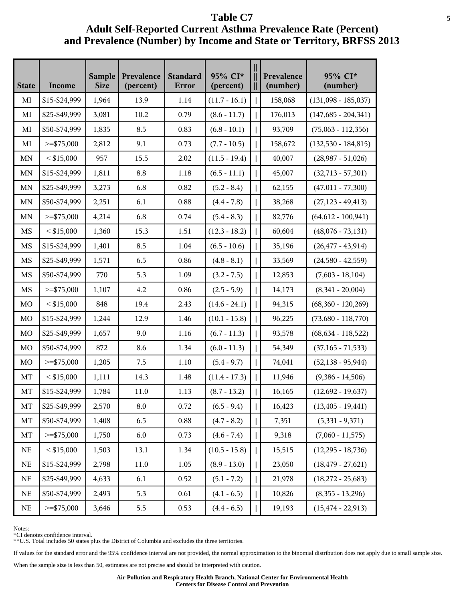| <b>State</b> | Income        | <b>Sample</b><br><b>Size</b> | Prevalence<br>(percent) | <b>Standard</b><br>Error | 95% CI*<br>(percent) |                                       | Prevalence<br>(number) | 95% CI*<br>(number)    |
|--------------|---------------|------------------------------|-------------------------|--------------------------|----------------------|---------------------------------------|------------------------|------------------------|
| MI           | \$15-\$24,999 | 1,964                        | 13.9                    | 1.14                     | $(11.7 - 16.1)$      | $\parallel$                           | 158,068                | $(131,098 - 185,037)$  |
| MI           | \$25-\$49,999 | 3,081                        | 10.2                    | 0.79                     | $(8.6 - 11.7)$       | $\parallel$                           | 176,013                | $(147,685 - 204,341)$  |
| $\rm MI$     | \$50-\$74,999 | 1,835                        | 8.5                     | 0.83                     | $(6.8 - 10.1)$       | $\parallel$                           | 93,709                 | $(75,063 - 112,356)$   |
| MI           | $>=$ \$75,000 | 2,812                        | 9.1                     | 0.73                     | $(7.7 - 10.5)$       | $\begin{array}{c} \hline \end{array}$ | 158,672                | $(132,530 - 184,815)$  |
| MN           | $<$ \$15,000  | 957                          | 15.5                    | 2.02                     | $(11.5 - 19.4)$      | $\parallel$                           | 40,007                 | $(28,987 - 51,026)$    |
| MN           | \$15-\$24,999 | 1,811                        | 8.8                     | 1.18                     | $(6.5 - 11.1)$       |                                       | 45,007                 | $(32,713 - 57,301)$    |
| MN           | \$25-\$49,999 | 3,273                        | 6.8                     | 0.82                     | $(5.2 - 8.4)$        | $\parallel$                           | 62,155                 | $(47,011 - 77,300)$    |
| MN           | \$50-\$74,999 | 2,251                        | 6.1                     | 0.88                     | $(4.4 - 7.8)$        | $\mathbb{I}$                          | 38,268                 | $(27, 123 - 49, 413)$  |
| MN           | $>=$ \$75,000 | 4,214                        | 6.8                     | 0.74                     | $(5.4 - 8.3)$        | $\begin{array}{c} \hline \end{array}$ | 82,776                 | $(64, 612 - 100, 941)$ |
| MS           | $<$ \$15,000  | 1,360                        | 15.3                    | 1.51                     | $(12.3 - 18.2)$      | $\parallel$                           | 60,604                 | $(48,076 - 73,131)$    |
| MS           | \$15-\$24,999 | 1,401                        | 8.5                     | 1.04                     | $(6.5 - 10.6)$       |                                       | 35,196                 | $(26, 477 - 43, 914)$  |
| MS           | \$25-\$49,999 | 1,571                        | 6.5                     | 0.86                     | $(4.8 - 8.1)$        | $\parallel$                           | 33,569                 | $(24,580 - 42,559)$    |
| MS           | \$50-\$74,999 | 770                          | 5.3                     | 1.09                     | $(3.2 - 7.5)$        | $\parallel$                           | 12,853                 | $(7,603 - 18,104)$     |
| MS           | $>=$ \$75,000 | 1,107                        | 4.2                     | 0.86                     | $(2.5 - 5.9)$        | $\begin{array}{c} \hline \end{array}$ | 14,173                 | $(8,341 - 20,004)$     |
| MO           | $<$ \$15,000  | 848                          | 19.4                    | 2.43                     | $(14.6 - 24.1)$      | $\parallel$                           | 94,315                 | $(68,360 - 120,269)$   |
| MO           | \$15-\$24,999 | 1,244                        | 12.9                    | 1.46                     | $(10.1 - 15.8)$      |                                       | 96,225                 | $(73,680 - 118,770)$   |
| MO           | \$25-\$49,999 | 1,657                        | 9.0                     | 1.16                     | $(6.7 - 11.3)$       | $\parallel$                           | 93,578                 | $(68, 634 - 118, 522)$ |
| $_{\rm MO}$  | \$50-\$74,999 | 872                          | 8.6                     | 1.34                     | $(6.0 - 11.3)$       | $\parallel$                           | 54,349                 | $(37, 165 - 71, 533)$  |
| MO           | $>=$ \$75,000 | 1,205                        | 7.5                     | 1.10                     | $(5.4 - 9.7)$        | $\begin{array}{c} \hline \end{array}$ | 74,041                 | $(52, 138 - 95, 944)$  |
| MT           | $<$ \$15,000  | 1,111                        | 14.3                    | 1.48                     | $(11.4 - 17.3)$      | $\parallel$                           | 11,946                 | $(9,386 - 14,506)$     |
| MT           | \$15-\$24,999 | 1,784                        | 11.0                    | 1.13                     | $(8.7 - 13.2)$       | $\parallel$                           | 16,165                 | $(12,692 - 19,637)$    |
| MT           | \$25-\$49,999 | 2,570                        | 8.0                     | 0.72                     | $(6.5 - 9.4)$        | $\parallel$                           | 16,423                 | $(13, 405 - 19, 441)$  |
| MT           | \$50-\$74,999 | 1,408                        | 6.5                     | 0.88                     | $(4.7 - 8.2)$        | $\parallel$                           | 7,351                  | $(5,331 - 9,371)$      |
| MT           | $>=$ \$75,000 | 1,750                        | $6.0\,$                 | 0.73                     | $(4.6 - 7.4)$        | $\begin{array}{c} \hline \end{array}$ | 9,318                  | $(7,060 - 11,575)$     |
| $\rm NE$     | $<$ \$15,000  | 1,503                        | 13.1                    | 1.34                     | $(10.5 - 15.8)$      | $\parallel$                           | 15,515                 | $(12,295 - 18,736)$    |
| $\rm NE$     | \$15-\$24,999 | 2,798                        | 11.0                    | 1.05                     | $(8.9 - 13.0)$       | $\parallel$                           | 23,050                 | $(18, 479 - 27, 621)$  |
| NE           | \$25-\$49,999 | 4,633                        | 6.1                     | 0.52                     | $(5.1 - 7.2)$        |                                       | 21,978                 | $(18,272 - 25,683)$    |
| NE           | \$50-\$74,999 | 2,493                        | 5.3                     | 0.61                     | $(4.1 - 6.5)$        | II                                    | 10,826                 | $(8,355 - 13,296)$     |
| $\rm NE$     | $>=$ \$75,000 | 3,646                        | 5.5                     | 0.53                     | $(4.4 - 6.5)$        | $\parallel$                           | 19,193                 | $(15, 474 - 22, 913)$  |

Notes:

\*CI denotes confidence interval.

\*\*U.S. Total includes 50 states plus the District of Columbia and excludes the three territories.

If values for the standard error and the 95% confidence interval are not provided, the normal approximation to the binomial distribution does not apply due to small sample size.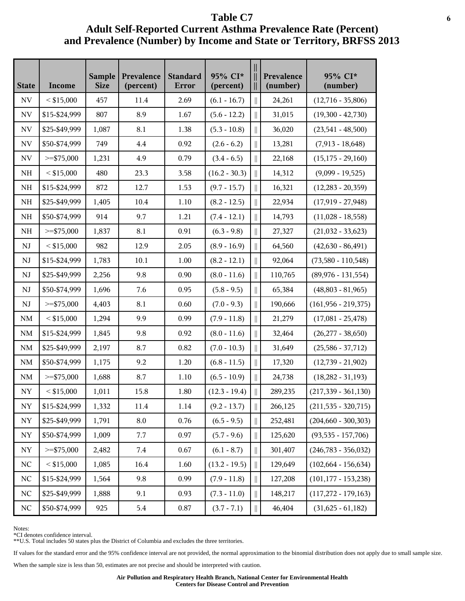| <b>State</b>             | <b>Income</b> | <b>Sample</b><br><b>Size</b> | Prevalence<br>(percent) | <b>Standard</b><br><b>Error</b> | 95% CI*<br>(percent) |                                         | Prevalence<br>(number) | 95% CI*<br>(number)     |
|--------------------------|---------------|------------------------------|-------------------------|---------------------------------|----------------------|-----------------------------------------|------------------------|-------------------------|
| NV                       | $<$ \$15,000  | 457                          | 11.4                    | 2.69                            | $(6.1 - 16.7)$       |                                         | 24,261                 | $(12,716 - 35,806)$     |
| $\ensuremath{\text{NV}}$ | \$15-\$24,999 | 807                          | 8.9                     | 1.67                            | $(5.6 - 12.2)$       | $\begin{array}{c} \hline \end{array}$   | 31,015                 | $(19,300 - 42,730)$     |
| $\ensuremath{\text{NV}}$ | \$25-\$49,999 | 1,087                        | 8.1                     | 1.38                            | $(5.3 - 10.8)$       | $\left  \right $                        | 36,020                 | $(23,541 - 48,500)$     |
| $\ensuremath{\text{NV}}$ | \$50-\$74,999 | 749                          | 4.4                     | 0.92                            | $(2.6 - 6.2)$        |                                         | 13,281                 | $(7,913 - 18,648)$      |
| NV                       | $>=$ \$75,000 | 1,231                        | 4.9                     | 0.79                            | $(3.4 - 6.5)$        |                                         | 22,168                 | $(15, 175 - 29, 160)$   |
| NH                       | $<$ \$15,000  | 480                          | 23.3                    | 3.58                            | $(16.2 - 30.3)$      |                                         | 14,312                 | $(9,099 - 19,525)$      |
| NH                       | \$15-\$24,999 | 872                          | 12.7                    | 1.53                            | $(9.7 - 15.7)$       | $\left  {}\right $                      | 16,321                 | $(12,283 - 20,359)$     |
| $\rm NH$                 | \$25-\$49,999 | 1,405                        | 10.4                    | 1.10                            | $(8.2 - 12.5)$       | $\begin{array}{c} \hline \end{array}$   | 22,934                 | $(17,919 - 27,948)$     |
| $\rm NH$                 | \$50-\$74,999 | 914                          | 9.7                     | 1.21                            | $(7.4 - 12.1)$       |                                         | 14,793                 | $(11,028 - 18,558)$     |
| NH                       | $>=$ \$75,000 | 1,837                        | 8.1                     | 0.91                            | $(6.3 - 9.8)$        |                                         | 27,327                 | $(21,032 - 33,623)$     |
| $_{\rm NJ}$              | $<$ \$15,000  | 982                          | 12.9                    | 2.05                            | $(8.9 - 16.9)$       |                                         | 64,560                 | $(42,630 - 86,491)$     |
| NJ                       | \$15-\$24,999 | 1,783                        | 10.1                    | 1.00                            | $(8.2 - 12.1)$       | $\left  {}\right $                      | 92,064                 | $(73,580 - 110,548)$    |
| $\mathbf{N}\mathbf{J}$   | \$25-\$49,999 | 2,256                        | 9.8                     | 0.90                            | $(8.0 - 11.6)$       | $\parallel$                             | 110,765                | $(89,976 - 131,554)$    |
| $\mathbf{N}\mathbf{J}$   | \$50-\$74,999 | 1,696                        | 7.6                     | 0.95                            | $(5.8 - 9.5)$        | Ш                                       | 65,384                 | $(48,803 - 81,965)$     |
| NJ                       | $>=$ \$75,000 | 4,403                        | 8.1                     | 0.60                            | $(7.0 - 9.3)$        |                                         | 190,666                | $(161,956 - 219,375)$   |
| $\rm NM$                 | $<$ \$15,000  | 1,294                        | 9.9                     | 0.99                            | $(7.9 - 11.8)$       |                                         | 21,279                 | $(17,081 - 25,478)$     |
| $\rm NM$                 | \$15-\$24,999 | 1,845                        | 9.8                     | 0.92                            | $(8.0 - 11.6)$       | $\mathsf{I}$                            | 32,464                 | $(26,277 - 38,650)$     |
| $\rm NM$                 | \$25-\$49,999 | 2,197                        | 8.7                     | 0.82                            | $(7.0 - 10.3)$       | $\begin{array}{c} \hline \end{array}$   | 31,649                 | $(25,586 - 37,712)$     |
| $\rm NM$                 | \$50-\$74,999 | 1,175                        | 9.2                     | 1.20                            | $(6.8 - 11.5)$       | II                                      | 17,320                 | $(12,739 - 21,902)$     |
| NM                       | $>=$ \$75,000 | 1,688                        | 8.7                     | 1.10                            | $(6.5 - 10.9)$       |                                         | 24,738                 | $(18,282 - 31,193)$     |
| ${\rm NY}$               | $<$ \$15,000  | 1,011                        | 15.8                    | 1.80                            | $(12.3 - 19.4)$      |                                         | 289,235                | $(217,339 - 361,130)$   |
| ${\rm NY}$               | \$15-\$24,999 | 1,332                        | 11.4                    | 1.14                            | $(9.2 - 13.7)$       | $\mathcal{L}^{\text{max}}_{\text{max}}$ | 266,125                | $(211, 535 - 320, 715)$ |
| ${\rm NY}$               | \$25-\$49,999 | 1,791                        | 8.0                     | 0.76                            | $(6.5 - 9.5)$        | $\parallel$                             | 252,481                | $(204, 660 - 300, 303)$ |
| ${\rm NY}$               | \$50-\$74,999 | 1,009                        | 7.7                     | 0.97                            | $(5.7 - 9.6)$        | $\mathcal{L}^{\text{max}}_{\text{max}}$ | 125,620                | $(93,535 - 157,706)$    |
| NY                       | $>=$ \$75,000 | 2,482                        | 7.4                     | 0.67                            | $(6.1 - 8.7)$        |                                         | 301,407                | $(246,783 - 356,032)$   |
| NC                       | $<$ \$15,000  | 1,085                        | 16.4                    | 1.60                            | $(13.2 - 19.5)$      |                                         | 129,649                | $(102, 664 - 156, 634)$ |
| $\rm NC$                 | \$15-\$24,999 | 1,564                        | 9.8                     | 0.99                            | $(7.9 - 11.8)$       | $\mathbb{I}$                            | 127,208                | $(101, 177 - 153, 238)$ |
| $\rm NC$                 | \$25-\$49,999 | 1,888                        | 9.1                     | 0.93                            | $(7.3 - 11.0)$       | $\ $                                    | 148,217                | $(117,272 - 179,163)$   |
| $\rm NC$                 | \$50-\$74,999 | 925                          | 5.4                     | 0.87                            | $(3.7 - 7.1)$        | $\label{eq:1} \bigsqcup$                | 46,404                 | $(31,625 - 61,182)$     |

Notes:

\*CI denotes confidence interval.

\*\*U.S. Total includes 50 states plus the District of Columbia and excludes the three territories.

If values for the standard error and the 95% confidence interval are not provided, the normal approximation to the binomial distribution does not apply due to small sample size.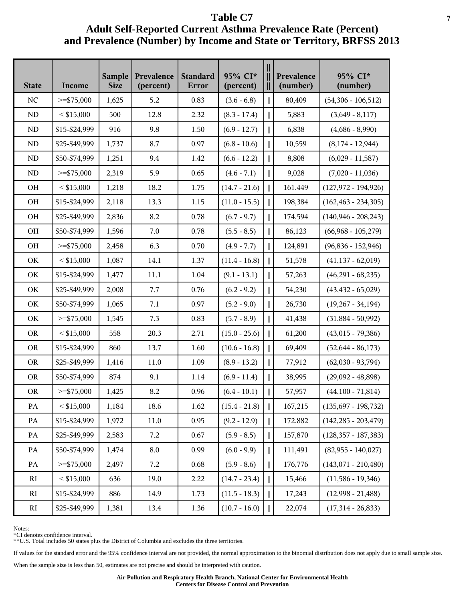| <b>State</b>           | Income        | <b>Sample</b><br><b>Size</b> | Prevalence<br>(percent) | <b>Standard</b><br>Error | 95% CI*<br>(percent) | Ш            | Prevalence<br>(number) | 95% CI*<br>(number)     |
|------------------------|---------------|------------------------------|-------------------------|--------------------------|----------------------|--------------|------------------------|-------------------------|
| NC                     | $>=$ \$75,000 | 1,625                        | 5.2                     | 0.83                     | $(3.6 - 6.8)$        |              | 80,409                 | $(54,306 - 106,512)$    |
| ${\rm ND}$             | $<$ \$15,000  | 500                          | 12.8                    | 2.32                     | $(8.3 - 17.4)$       |              | 5,883                  | $(3,649 - 8,117)$       |
| $\rm ND$               | \$15-\$24,999 | 916                          | 9.8                     | 1.50                     | $(6.9 - 12.7)$       |              | 6,838                  | $(4,686 - 8,990)$       |
| ${\rm ND}$             | \$25-\$49,999 | 1,737                        | 8.7                     | 0.97                     | $(6.8 - 10.6)$       |              | 10,559                 | $(8,174 - 12,944)$      |
| ${\rm ND}$             | \$50-\$74,999 | 1,251                        | 9.4                     | 1.42                     | $(6.6 - 12.2)$       |              | 8,808                  | $(6,029 - 11,587)$      |
| ${\rm ND}$             | $>=$ \$75,000 | 2,319                        | 5.9                     | 0.65                     | $(4.6 - 7.1)$        |              | 9,028                  | $(7,020 - 11,036)$      |
| OH                     | $<$ \$15,000  | 1,218                        | 18.2                    | 1.75                     | $(14.7 - 21.6)$      |              | 161,449                | $(127,972 - 194,926)$   |
| OH                     | \$15-\$24,999 | 2,118                        | 13.3                    | 1.15                     | $(11.0 - 15.5)$      |              | 198,384                | $(162, 463 - 234, 305)$ |
| OH                     | \$25-\$49,999 | 2,836                        | 8.2                     | 0.78                     | $(6.7 - 9.7)$        |              | 174,594                | $(140,946 - 208,243)$   |
| OH                     | \$50-\$74,999 | 1,596                        | 7.0                     | 0.78                     | $(5.5 - 8.5)$        |              | 86,123                 | $(66,968 - 105,279)$    |
| OH                     | $>=$ \$75,000 | 2,458                        | 6.3                     | 0.70                     | $(4.9 - 7.7)$        |              | 124,891                | $(96,836 - 152,946)$    |
| OK                     | $<$ \$15,000  | 1,087                        | 14.1                    | 1.37                     | $(11.4 - 16.8)$      |              | 51,578                 | $(41, 137 - 62, 019)$   |
| OK                     | \$15-\$24,999 | 1,477                        | 11.1                    | 1.04                     | $(9.1 - 13.1)$       |              | 57,263                 | $(46,291 - 68,235)$     |
| OK                     | \$25-\$49,999 | 2,008                        | 7.7                     | 0.76                     | $(6.2 - 9.2)$        |              | 54,230                 | $(43, 432 - 65, 029)$   |
| OK                     | \$50-\$74,999 | 1,065                        | 7.1                     | 0.97                     | $(5.2 - 9.0)$        |              | 26,730                 | $(19,267 - 34,194)$     |
| OK                     | $>=$ \$75,000 | 1,545                        | 7.3                     | 0.83                     | $(5.7 - 8.9)$        |              | 41,438                 | $(31,884 - 50,992)$     |
| <b>OR</b>              | $<$ \$15,000  | 558                          | 20.3                    | 2.71                     | $(15.0 - 25.6)$      |              | 61,200                 | $(43,015 - 79,386)$     |
| <b>OR</b>              | \$15-\$24,999 | 860                          | 13.7                    | 1.60                     | $(10.6 - 16.8)$      |              | 69,409                 | $(52,644 - 86,173)$     |
| <b>OR</b>              | \$25-\$49,999 | 1,416                        | 11.0                    | 1.09                     | $(8.9 - 13.2)$       |              | 77,912                 | $(62,030 - 93,794)$     |
| <b>OR</b>              | \$50-\$74,999 | 874                          | 9.1                     | 1.14                     | $(6.9 - 11.4)$       |              | 38,995                 | $(29,092 - 48,898)$     |
| <b>OR</b>              | $>=$ \$75,000 | 1,425                        | $\rm 8.2$               | 0.96                     | $(6.4 - 10.1)$       |              | 57,957                 | $(44,100 - 71,814)$     |
| PA                     | $<$ \$15,000  | 1,184                        | 18.6                    | 1.62                     | $(15.4 - 21.8)$      | $\parallel$  | 167,215                | $(135,697 - 198,732)$   |
| PA                     | \$15-\$24,999 | 1,972                        | 11.0                    | 0.95                     | $(9.2 - 12.9)$       | $\mathbb{I}$ | 172,882                | $(142, 285 - 203, 479)$ |
| $\mathbf{PA}$          | \$25-\$49,999 | 2,583                        | 7.2                     | 0.67                     | $(5.9 - 8.5)$        |              | 157,870                | $(128, 357 - 187, 383)$ |
| PA                     | \$50-\$74,999 | 1,474                        | 8.0                     | 0.99                     | $(6.0 - 9.9)$        |              | 111,491                | $(82,955 - 140,027)$    |
| PA                     | $>=$ \$75,000 | 2,497                        | 7.2                     | 0.68                     | $(5.9 - 8.6)$        |              | 176,776                | $(143,071 - 210,480)$   |
| RI                     | $<$ \$15,000  | 636                          | 19.0                    | 2.22                     | $(14.7 - 23.4)$      |              | 15,466                 | $(11,586 - 19,346)$     |
| $\mathbf{R}\mathbf{I}$ | \$15-\$24,999 | 886                          | 14.9                    | 1.73                     | $(11.5 - 18.3)$      |              | 17,243                 | $(12,998 - 21,488)$     |
| RI                     | \$25-\$49,999 | 1,381                        | 13.4                    | 1.36                     | $(10.7 - 16.0)$      |              | 22,074                 | $(17,314 - 26,833)$     |

Notes:

\*CI denotes confidence interval.

\*\*U.S. Total includes 50 states plus the District of Columbia and excludes the three territories.

If values for the standard error and the 95% confidence interval are not provided, the normal approximation to the binomial distribution does not apply due to small sample size.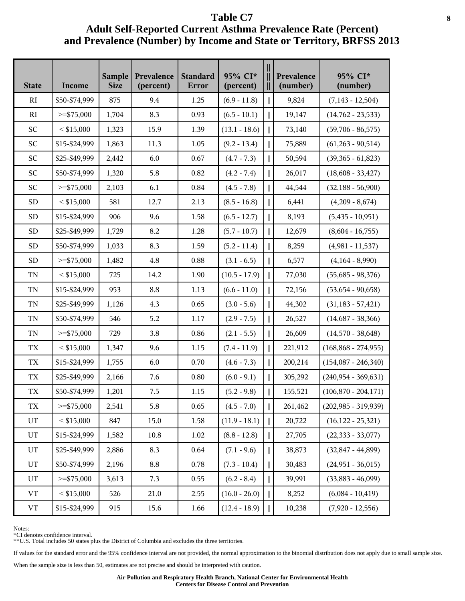| <b>State</b>       | Income        | <b>Sample</b><br><b>Size</b> | Prevalence<br>(percent) | <b>Standard</b><br>Error | 95% CI*<br>(percent) |              | Prevalence<br>(number) | 95% CI*<br>(number)     |
|--------------------|---------------|------------------------------|-------------------------|--------------------------|----------------------|--------------|------------------------|-------------------------|
| <b>RI</b>          | \$50-\$74,999 | 875                          | 9.4                     | 1.25                     | $(6.9 - 11.8)$       | $\parallel$  | 9,824                  | $(7,143 - 12,504)$      |
| R1                 | $>=$ \$75,000 | 1,704                        | 8.3                     | 0.93                     | $(6.5 - 10.1)$       | $\mathbb{I}$ | 19,147                 | $(14,762 - 23,533)$     |
| SC                 | $<$ \$15,000  | 1,323                        | 15.9                    | 1.39                     | $(13.1 - 18.6)$      | $\mathbb{I}$ | 73,140                 | $(59,706 - 86,575)$     |
| SC                 | \$15-\$24,999 | 1,863                        | 11.3                    | 1.05                     | $(9.2 - 13.4)$       | $\parallel$  | 75,889                 | $(61,263 - 90,514)$     |
| SC                 | \$25-\$49,999 | 2,442                        | 6.0                     | 0.67                     | $(4.7 - 7.3)$        | Ш            | 50,594                 | $(39,365 - 61,823)$     |
| SC                 | \$50-\$74,999 | 1,320                        | 5.8                     | 0.82                     | $(4.2 - 7.4)$        | $\mathbb{I}$ | 26,017                 | $(18,608 - 33,427)$     |
| <b>SC</b>          | $>=$ \$75,000 | 2,103                        | 6.1                     | 0.84                     | $(4.5 - 7.8)$        | $\mathbb{I}$ | 44,544                 | $(32,188 - 56,900)$     |
| ${\rm SD}$         | $<$ \$15,000  | 581                          | 12.7                    | 2.13                     | $(8.5 - 16.8)$       | $\mathbb{I}$ | 6,441                  | $(4,209 - 8,674)$       |
| <b>SD</b>          | \$15-\$24,999 | 906                          | 9.6                     | 1.58                     | $(6.5 - 12.7)$       | $\parallel$  | 8,193                  | $(5,435 - 10,951)$      |
| <b>SD</b>          | \$25-\$49,999 | 1,729                        | 8.2                     | 1.28                     | $(5.7 - 10.7)$       | Ш            | 12,679                 | $(8,604 - 16,755)$      |
| <b>SD</b>          | \$50-\$74,999 | 1,033                        | 8.3                     | 1.59                     | $(5.2 - 11.4)$       | $\parallel$  | 8,259                  | $(4,981 - 11,537)$      |
| <b>SD</b>          | $>=$ \$75,000 | 1,482                        | 4.8                     | 0.88                     | $(3.1 - 6.5)$        | $\parallel$  | 6,577                  | $(4,164 - 8,990)$       |
| TN                 | $<$ \$15,000  | 725                          | 14.2                    | 1.90                     | $(10.5 - 17.9)$      | $\mathbb{I}$ | 77,030                 | $(55,685 - 98,376)$     |
| $\mbox{T}\mbox{N}$ | \$15-\$24,999 | 953                          | 8.8                     | 1.13                     | $(6.6 - 11.0)$       | $\parallel$  | 72,156                 | $(53,654 - 90,658)$     |
| $\mbox{T}\mbox{N}$ | \$25-\$49,999 | 1,126                        | 4.3                     | 0.65                     | $(3.0 - 5.6)$        | $\parallel$  | 44,302                 | $(31,183 - 57,421)$     |
| TN                 | \$50-\$74,999 | 546                          | 5.2                     | 1.17                     | $(2.9 - 7.5)$        | $\mathbb{I}$ | 26,527                 | $(14,687 - 38,366)$     |
| TN                 | $>=$ \$75,000 | 729                          | 3.8                     | 0.86                     | $(2.1 - 5.5)$        | $\parallel$  | 26,609                 | $(14,570 - 38,648)$     |
| ${\rm T}{\rm X}$   | $<$ \$15,000  | 1,347                        | 9.6                     | 1.15                     | $(7.4 - 11.9)$       | $\parallel$  | 221,912                | $(168, 868 - 274, 955)$ |
| ${\rm T}{\rm X}$   | \$15-\$24,999 | 1,755                        | 6.0                     | 0.70                     | $(4.6 - 7.3)$        | $\parallel$  | 200,214                | $(154,087 - 246,340)$   |
| ${\rm TX}$         | \$25-\$49,999 | 2,166                        | 7.6                     | $0.80\,$                 | $(6.0 - 9.1)$        | $\parallel$  | 305,292                | $(240,954 - 369,631)$   |
| ${\rm T}{\rm X}$   | \$50-\$74,999 | 1,201                        | 7.5                     | 1.15                     | $(5.2 - 9.8)$        |              | 155,521                | $(106,870 - 204,171)$   |
| TX                 | $>=$ \$75,000 | 2,541                        | 5.8                     | 0.65                     | $(4.5 - 7.0)$        | $\parallel$  | 261,462                | $(202,985 - 319,939)$   |
| $_{\rm UT}$        | $<$ \$15,000  | 847                          | 15.0                    | 1.58                     | $(11.9 - 18.1)$      | $\parallel$  | 20,722                 | $(16, 122 - 25, 321)$   |
| $\mathop{\rm UT}$  | \$15-\$24,999 | 1,582                        | $10.8\,$                | $1.02\,$                 | $(8.8 - 12.8)$       | $\mathbf{r}$ | 27,705                 | $(22, 333 - 33, 077)$   |
| UT                 | \$25-\$49,999 | 2,886                        | 8.3                     | 0.64                     | $(7.1 - 9.6)$        | $\mathbb{I}$ | 38,873                 | $(32, 847 - 44, 899)$   |
| UT                 | \$50-\$74,999 | 2,196                        | 8.8                     | 0.78                     | $(7.3 - 10.4)$       | $\mathbb{I}$ | 30,483                 | $(24,951 - 36,015)$     |
| UT                 | $>=$ \$75,000 | 3,613                        | 7.3                     | 0.55                     | $(6.2 - 8.4)$        | $\mathbb{I}$ | 39,991                 | $(33,883 - 46,099)$     |
| ${\rm VT}$         | $<$ \$15,000  | 526                          | 21.0                    | 2.55                     | $(16.0 - 26.0)$      | $\parallel$  | 8,252                  | $(6,084 - 10,419)$      |
| ${\rm VT}$         | \$15-\$24,999 | 915                          | 15.6                    | 1.66                     | $(12.4 - 18.9)$      | $\parallel$  | 10,238                 | $(7,920 - 12,556)$      |

Notes:

\*CI denotes confidence interval.

\*\*U.S. Total includes 50 states plus the District of Columbia and excludes the three territories.

If values for the standard error and the 95% confidence interval are not provided, the normal approximation to the binomial distribution does not apply due to small sample size.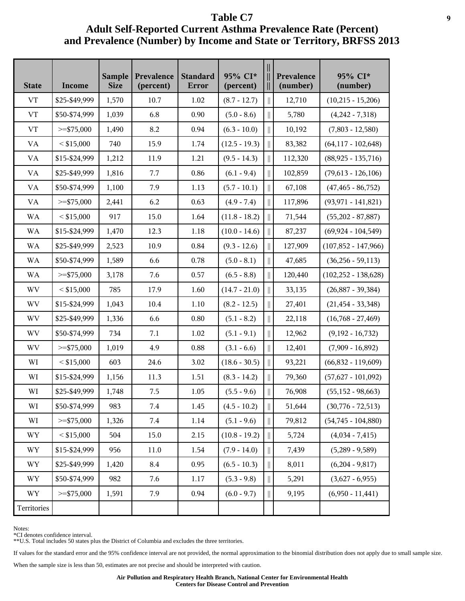| <b>State</b>             | Income        | <b>Sample</b><br><b>Size</b> | Prevalence<br>(percent) | <b>Standard</b><br>Error | 95% CI*<br>(percent) | Ш            | Prevalence<br>(number) | 95% CI*<br>(number)     |
|--------------------------|---------------|------------------------------|-------------------------|--------------------------|----------------------|--------------|------------------------|-------------------------|
| VT                       | \$25-\$49,999 | 1,570                        | 10.7                    | 1.02                     | $(8.7 - 12.7)$       | $\mathbb{I}$ | 12,710                 | $(10,215 - 15,206)$     |
| <b>VT</b>                | \$50-\$74,999 | 1,039                        | 6.8                     | 0.90                     | $(5.0 - 8.6)$        | $\parallel$  | 5,780                  | $(4,242 - 7,318)$       |
| ${\rm VT}$               | $>=$ \$75,000 | 1,490                        | 8.2                     | 0.94                     | $(6.3 - 10.0)$       | $\parallel$  | 10,192                 | $(7,803 - 12,580)$      |
| VA                       | $<$ \$15,000  | 740                          | 15.9                    | 1.74                     | $(12.5 - 19.3)$      | $\mathbb{I}$ | 83,382                 | $(64, 117 - 102, 648)$  |
| VA                       | \$15-\$24,999 | 1,212                        | 11.9                    | 1.21                     | $(9.5 - 14.3)$       |              | 112,320                | $(88,925 - 135,716)$    |
| VA                       | \$25-\$49,999 | 1,816                        | 7.7                     | 0.86                     | $(6.1 - 9.4)$        |              | 102,859                | $(79,613 - 126,106)$    |
| VA                       | \$50-\$74,999 | 1,100                        | 7.9                     | 1.13                     | $(5.7 - 10.1)$       | $\parallel$  | 67,108                 | $(47, 465 - 86, 752)$   |
| <b>VA</b>                | $>=$ \$75,000 | 2,441                        | 6.2                     | 0.63                     | $(4.9 - 7.4)$        | $\mathbf{r}$ | 117,896                | $(93, 971 - 141, 821)$  |
| <b>WA</b>                | $<$ \$15,000  | 917                          | 15.0                    | 1.64                     | $(11.8 - 18.2)$      | $\mathbb{I}$ | 71,544                 | $(55,202 - 87,887)$     |
| <b>WA</b>                | \$15-\$24,999 | 1,470                        | 12.3                    | 1.18                     | $(10.0 - 14.6)$      |              | 87,237                 | $(69, 924 - 104, 549)$  |
| <b>WA</b>                | \$25-\$49,999 | 2,523                        | 10.9                    | 0.84                     | $(9.3 - 12.6)$       |              | 127,909                | $(107,852 - 147,966)$   |
| <b>WA</b>                | \$50-\$74,999 | 1,589                        | 6.6                     | 0.78                     | $(5.0 - 8.1)$        | $\parallel$  | 47,685                 | $(36, 256 - 59, 113)$   |
| <b>WA</b>                | $>=$ \$75,000 | 3,178                        | 7.6                     | 0.57                     | $(6.5 - 8.8)$        | $\mathbf{r}$ | 120,440                | $(102, 252 - 138, 628)$ |
| WV                       | $<$ \$15,000  | 785                          | 17.9                    | 1.60                     | $(14.7 - 21.0)$      | $\parallel$  | 33,135                 | $(26,887 - 39,384)$     |
| WV                       | \$15-\$24,999 | 1,043                        | 10.4                    | 1.10                     | $(8.2 - 12.5)$       |              | 27,401                 | $(21, 454 - 33, 348)$   |
| WV                       | \$25-\$49,999 | 1,336                        | 6.6                     | 0.80                     | $(5.1 - 8.2)$        | $\parallel$  | 22,118                 | $(16,768 - 27,469)$     |
| <b>WV</b>                | \$50-\$74,999 | 734                          | 7.1                     | 1.02                     | $(5.1 - 9.1)$        | $\mathbb{I}$ | 12,962                 | $(9,192 - 16,732)$      |
| <b>WV</b>                | $>=$ \$75,000 | 1,019                        | 4.9                     | 0.88                     | $(3.1 - 6.6)$        | $\parallel$  | 12,401                 | $(7,909 - 16,892)$      |
| WI                       | $<$ \$15,000  | 603                          | 24.6                    | 3.02                     | $(18.6 - 30.5)$      | $\parallel$  | 93,221                 | $(66,832 - 119,609)$    |
| WI                       | \$15-\$24,999 | 1,156                        | 11.3                    | 1.51                     | $(8.3 - 14.2)$       |              | 79,360                 | $(57,627 - 101,092)$    |
| WI                       | \$25-\$49,999 | 1,748                        | 7.5                     | 1.05                     | $(5.5 - 9.6)$        |              | 76,908                 | $(55, 152 - 98, 663)$   |
| WI                       | \$50-\$74,999 | 983                          | 7.4                     | 1.45                     | $(4.5 - 10.2)$       | $\mathbf{r}$ | 51,644                 | $(30,776 - 72,513)$     |
| WI                       | $>=$ \$75,000 | 1,326                        | 7.4                     | 1.14                     | $(5.1 - 9.6)$        | $\parallel$  | 79,812                 | $(54,745 - 104,880)$    |
| $\ensuremath{\text{WY}}$ | $<$ \$15,000  | 504                          | 15.0                    | 2.15                     | $(10.8 - 19.2)$      | $\parallel$  | 5,724                  | $(4,034 - 7,415)$       |
| WY                       | \$15-\$24,999 | 956                          | 11.0                    | 1.54                     | $(7.9 - 14.0)$       |              | 7,439                  | $(5,289 - 9,589)$       |
| WY                       | \$25-\$49,999 | 1,420                        | 8.4                     | 0.95                     | $(6.5 - 10.3)$       |              | 8,011                  | $(6,204 - 9,817)$       |
| $\ensuremath{\text{WY}}$ | \$50-\$74,999 | 982                          | 7.6                     | 1.17                     | $(5.3 - 9.8)$        | Ш            | 5,291                  | $(3,627 - 6,955)$       |
| WY                       | $>=$ \$75,000 | 1,591                        | 7.9                     | 0.94                     | $(6.0 - 9.7)$        | $\parallel$  | 9,195                  | $(6,950 - 11,441)$      |
| Territories              |               |                              |                         |                          |                      |              |                        |                         |

Notes:

\*CI denotes confidence interval.

\*\*U.S. Total includes 50 states plus the District of Columbia and excludes the three territories.

If values for the standard error and the 95% confidence interval are not provided, the normal approximation to the binomial distribution does not apply due to small sample size.